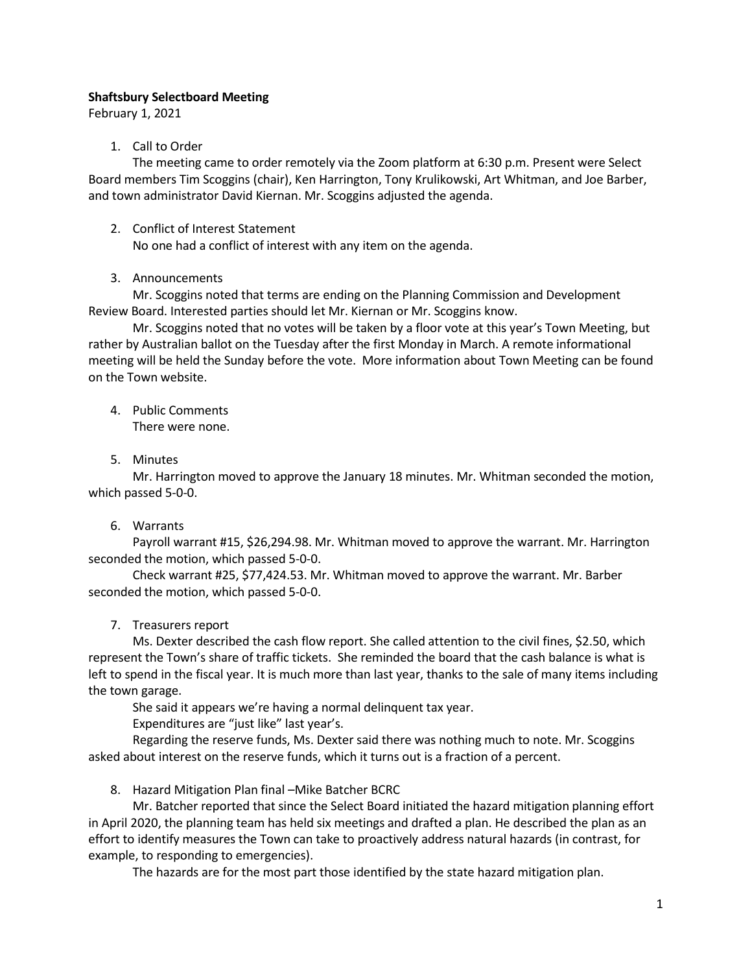## Shaftsbury Selectboard Meeting

February 1, 2021

## 1. Call to Order

The meeting came to order remotely via the Zoom platform at 6:30 p.m. Present were Select Board members Tim Scoggins (chair), Ken Harrington, Tony Krulikowski, Art Whitman, and Joe Barber, and town administrator David Kiernan. Mr. Scoggins adjusted the agenda.

2. Conflict of Interest Statement

No one had a conflict of interest with any item on the agenda.

## 3. Announcements

Mr. Scoggins noted that terms are ending on the Planning Commission and Development Review Board. Interested parties should let Mr. Kiernan or Mr. Scoggins know.

Mr. Scoggins noted that no votes will be taken by a floor vote at this year's Town Meeting, but rather by Australian ballot on the Tuesday after the first Monday in March. A remote informational meeting will be held the Sunday before the vote. More information about Town Meeting can be found on the Town website.

- 4. Public Comments There were none.
- 5. Minutes

Mr. Harrington moved to approve the January 18 minutes. Mr. Whitman seconded the motion, which passed 5-0-0.

## 6. Warrants

Payroll warrant #15, \$26,294.98. Mr. Whitman moved to approve the warrant. Mr. Harrington seconded the motion, which passed 5-0-0.

Check warrant #25, \$77,424.53. Mr. Whitman moved to approve the warrant. Mr. Barber seconded the motion, which passed 5-0-0.

7. Treasurers report

Ms. Dexter described the cash flow report. She called attention to the civil fines, \$2.50, which represent the Town's share of traffic tickets. She reminded the board that the cash balance is what is left to spend in the fiscal year. It is much more than last year, thanks to the sale of many items including the town garage.

She said it appears we're having a normal delinquent tax year.

Expenditures are "just like" last year's.

Regarding the reserve funds, Ms. Dexter said there was nothing much to note. Mr. Scoggins asked about interest on the reserve funds, which it turns out is a fraction of a percent.

8. Hazard Mitigation Plan final –Mike Batcher BCRC

Mr. Batcher reported that since the Select Board initiated the hazard mitigation planning effort in April 2020, the planning team has held six meetings and drafted a plan. He described the plan as an effort to identify measures the Town can take to proactively address natural hazards (in contrast, for example, to responding to emergencies).

The hazards are for the most part those identified by the state hazard mitigation plan.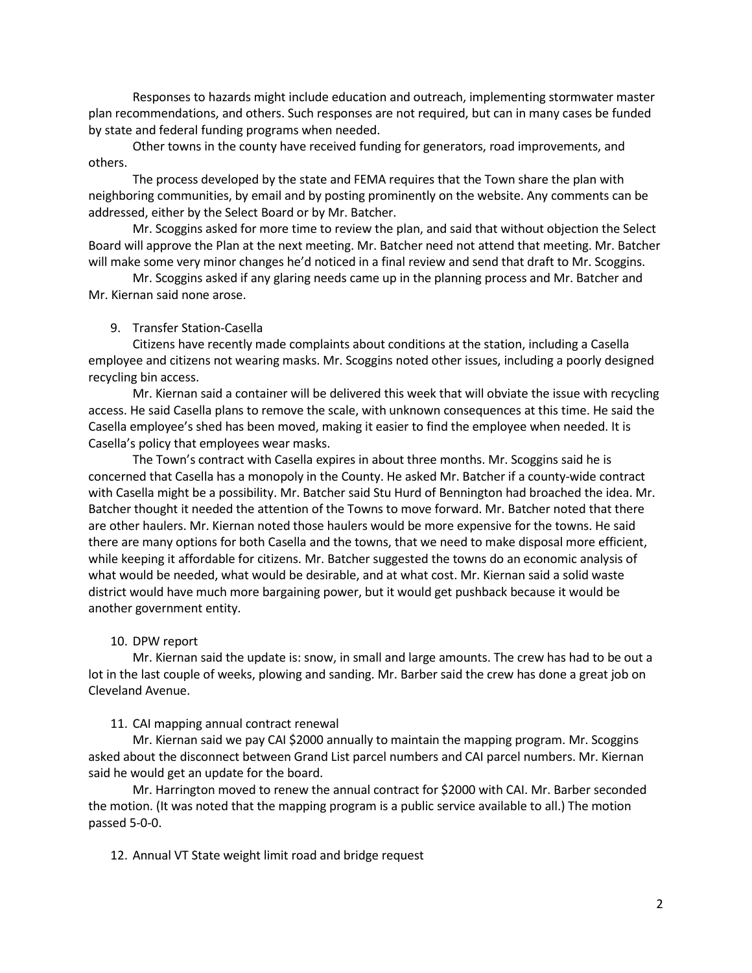Responses to hazards might include education and outreach, implementing stormwater master plan recommendations, and others. Such responses are not required, but can in many cases be funded by state and federal funding programs when needed.

Other towns in the county have received funding for generators, road improvements, and others.

The process developed by the state and FEMA requires that the Town share the plan with neighboring communities, by email and by posting prominently on the website. Any comments can be addressed, either by the Select Board or by Mr. Batcher.

Mr. Scoggins asked for more time to review the plan, and said that without objection the Select Board will approve the Plan at the next meeting. Mr. Batcher need not attend that meeting. Mr. Batcher will make some very minor changes he'd noticed in a final review and send that draft to Mr. Scoggins.

Mr. Scoggins asked if any glaring needs came up in the planning process and Mr. Batcher and Mr. Kiernan said none arose.

#### 9. Transfer Station-Casella

Citizens have recently made complaints about conditions at the station, including a Casella employee and citizens not wearing masks. Mr. Scoggins noted other issues, including a poorly designed recycling bin access.

Mr. Kiernan said a container will be delivered this week that will obviate the issue with recycling access. He said Casella plans to remove the scale, with unknown consequences at this time. He said the Casella employee's shed has been moved, making it easier to find the employee when needed. It is Casella's policy that employees wear masks.

The Town's contract with Casella expires in about three months. Mr. Scoggins said he is concerned that Casella has a monopoly in the County. He asked Mr. Batcher if a county-wide contract with Casella might be a possibility. Mr. Batcher said Stu Hurd of Bennington had broached the idea. Mr. Batcher thought it needed the attention of the Towns to move forward. Mr. Batcher noted that there are other haulers. Mr. Kiernan noted those haulers would be more expensive for the towns. He said there are many options for both Casella and the towns, that we need to make disposal more efficient, while keeping it affordable for citizens. Mr. Batcher suggested the towns do an economic analysis of what would be needed, what would be desirable, and at what cost. Mr. Kiernan said a solid waste district would have much more bargaining power, but it would get pushback because it would be another government entity.

#### 10. DPW report

Mr. Kiernan said the update is: snow, in small and large amounts. The crew has had to be out a lot in the last couple of weeks, plowing and sanding. Mr. Barber said the crew has done a great job on Cleveland Avenue.

#### 11. CAI mapping annual contract renewal

Mr. Kiernan said we pay CAI \$2000 annually to maintain the mapping program. Mr. Scoggins asked about the disconnect between Grand List parcel numbers and CAI parcel numbers. Mr. Kiernan said he would get an update for the board.

Mr. Harrington moved to renew the annual contract for \$2000 with CAI. Mr. Barber seconded the motion. (It was noted that the mapping program is a public service available to all.) The motion passed 5-0-0.

12. Annual VT State weight limit road and bridge request